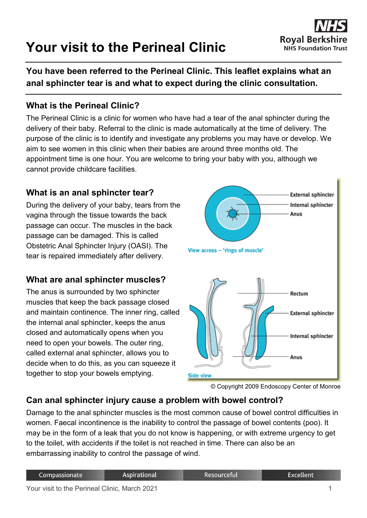# **Your visit to the Perineal Clinic**



**You have been referred to the Perineal Clinic. This leaflet explains what an anal sphincter tear is and what to expect during the clinic consultation.**

#### **What is the Perineal Clinic?**

The Perineal Clinic is a clinic for women who have had a tear of the anal sphincter during the delivery of their baby. Referral to the clinic is made automatically at the time of delivery. The purpose of the clinic is to identify and investigate any problems you may have or develop. We aim to see women in this clinic when their babies are around three months old. The appointment time is one hour. You are welcome to bring your baby with you, although we cannot provide childcare facilities.

#### **What is an anal sphincter tear?**

During the delivery of your baby, tears from the vagina through the tissue towards the back passage can occur. The muscles in the back passage can be damaged. This is called Obstetric Anal Sphincter Injury (OASI). The tear is repaired immediately after delivery.

#### **What are anal sphincter muscles?**

The anus is surrounded by two sphincter muscles that keep the back passage closed and maintain continence. The inner ring, called the internal anal sphincter, keeps the anus closed and automatically opens when you need to open your bowels. The outer ring, called external anal sphincter, allows you to decide when to do this, as you can squeeze it together to stop your bowels emptying.



<sup>©</sup> Copyright 2009 Endoscopy Center of Monroe

#### **Can anal sphincter injury cause a problem with bowel control?**

Damage to the anal sphincter muscles is the most common cause of bowel control difficulties in women. Faecal incontinence is the inability to control the passage of bowel contents (poo). It may be in the form of a leak that you do not know is happening, or with extreme urgency to get to the toilet, with accidents if the toilet is not reached in time. There can also be an embarrassing inability to control the passage of wind.

| Compassionate                                 | Aspirational | Resourceful | Excellent |
|-----------------------------------------------|--------------|-------------|-----------|
| Your visit to the Perineal Clinic, March 2021 |              |             |           |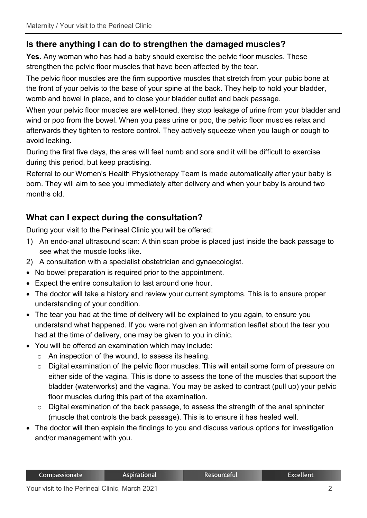# **Is there anything I can do to strengthen the damaged muscles?**

**Yes.** Any woman who has had a baby should exercise the pelvic floor muscles. These strengthen the pelvic floor muscles that have been affected by the tear.

The pelvic floor muscles are the firm supportive muscles that stretch from your pubic bone at the front of your pelvis to the base of your spine at the back. They help to hold your bladder, womb and bowel in place, and to close your bladder outlet and back passage.

When your pelvic floor muscles are well-toned, they stop leakage of urine from your bladder and wind or poo from the bowel. When you pass urine or poo, the pelvic floor muscles relax and afterwards they tighten to restore control. They actively squeeze when you laugh or cough to avoid leaking.

During the first five days, the area will feel numb and sore and it will be difficult to exercise during this period, but keep practising.

Referral to our Women's Health Physiotherapy Team is made automatically after your baby is born. They will aim to see you immediately after delivery and when your baby is around two months old.

# **What can I expect during the consultation?**

During your visit to the Perineal Clinic you will be offered:

- 1) An endo-anal ultrasound scan: A thin scan probe is placed just inside the back passage to see what the muscle looks like.
- 2) A consultation with a specialist obstetrician and gynaecologist.
- No bowel preparation is required prior to the appointment.
- Expect the entire consultation to last around one hour.
- The doctor will take a history and review your current symptoms. This is to ensure proper understanding of your condition.
- The tear you had at the time of delivery will be explained to you again, to ensure you understand what happened. If you were not given an information leaflet about the tear you had at the time of delivery, one may be given to you in clinic.
- You will be offered an examination which may include:
	- $\circ$  An inspection of the wound, to assess its healing.
	- o Digital examination of the pelvic floor muscles. This will entail some form of pressure on either side of the vagina. This is done to assess the tone of the muscles that support the bladder (waterworks) and the vagina. You may be asked to contract (pull up) your pelvic floor muscles during this part of the examination.
	- o Digital examination of the back passage, to assess the strength of the anal sphincter (muscle that controls the back passage). This is to ensure it has healed well.
- The doctor will then explain the findings to you and discuss various options for investigation and/or management with you.

#### Resourceful

**Excellent**